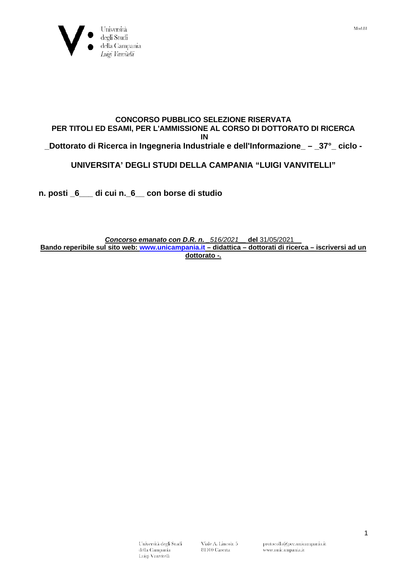

## **CONCORSO PUBBLICO SELEZIONE RISERVATA PER TITOLI ED ESAMI, PER L'AMMISSIONE AL CORSO DI DOTTORATO DI RICERCA IN**

**\_Dottorato di Ricerca in Ingegneria Industriale e dell'Informazione\_ – \_37°\_ ciclo -**

## **UNIVERSITA' DEGLI STUDI DELLA CAMPANIA "LUIGI VANVITELLI"**

**n. posti \_6\_\_\_ di cui n.\_6\_\_ con borse di studio**

## *Concorso emanato con D.R. n. \_516/2021\_\_* **del** 31/05/2021\_\_ **Bando reperibile sul sito web: [www.unicampania.it](http://www.unicampania.it/) – didattica – dottorati di ricerca – iscriversi ad un dottorato -***.*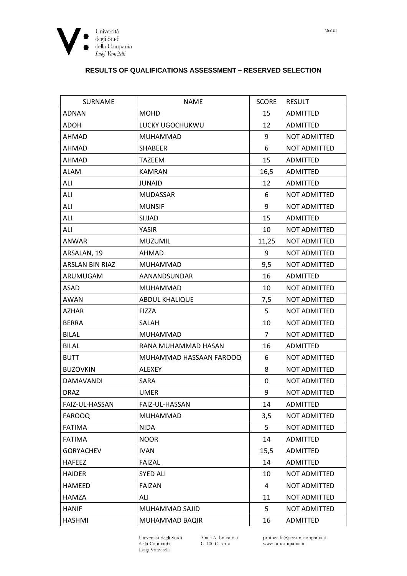

## **RESULTS OF QUALIFICATIONS ASSESSMENT - RESERVED SELECTION**

| <b>SURNAME</b>         | <b>NAME</b>             | <b>SCORE</b>   | <b>RESULT</b>       |
|------------------------|-------------------------|----------------|---------------------|
| <b>ADNAN</b>           | <b>MOHD</b>             | 15             | <b>ADMITTED</b>     |
| <b>ADOH</b>            | LUCKY UGOCHUKWU         | 12             | ADMITTED            |
| AHMAD                  | MUHAMMAD                | 9              | NOT ADMITTED        |
| AHMAD                  | <b>SHABEER</b>          | 6              | NOT ADMITTED        |
| AHMAD                  | <b>TAZEEM</b>           | 15             | ADMITTED            |
| <b>ALAM</b>            | <b>KAMRAN</b>           | 16,5           | <b>ADMITTED</b>     |
| ALI                    | <b>JUNAID</b>           | 12             | ADMITTED            |
| ALI                    | <b>MUDASSAR</b>         | 6              | NOT ADMITTED        |
| ALI                    | <b>MUNSIF</b>           | 9              | NOT ADMITTED        |
| ALI                    | SIJJAD                  | 15             | ADMITTED            |
| ALI                    | YASIR                   | 10             | NOT ADMITTED        |
| ANWAR                  | <b>MUZUMIL</b>          | 11,25          | <b>NOT ADMITTED</b> |
| ARSALAN, 19            | AHMAD                   | 9              | <b>NOT ADMITTED</b> |
| <b>ARSLAN BIN RIAZ</b> | MUHAMMAD                | 9,5            | NOT ADMITTED        |
| ARUMUGAM               | AANANDSUNDAR            | 16             | ADMITTED            |
| ASAD                   | MUHAMMAD                | 10             | NOT ADMITTED        |
| AWAN                   | <b>ABDUL KHALIQUE</b>   | 7,5            | NOT ADMITTED        |
| <b>AZHAR</b>           | <b>FIZZA</b>            | 5              | NOT ADMITTED        |
| <b>BERRA</b>           | SALAH                   | 10             | NOT ADMITTED        |
| <b>BILAL</b>           | MUHAMMAD                | $\overline{7}$ | NOT ADMITTED        |
| <b>BILAL</b>           | RANA MUHAMMAD HASAN     | 16             | <b>ADMITTED</b>     |
| <b>BUTT</b>            | MUHAMMAD HASSAAN FAROOQ | 6              | NOT ADMITTED        |
| <b>BUZOVKIN</b>        | <b>ALEXEY</b>           | 8              | NOT ADMITTED        |
| <b>DAMAVANDI</b>       | SARA                    | 0              | <b>NOT ADMITTED</b> |
| <b>DRAZ</b>            | <b>UMER</b>             | 9              | NOT ADMITTED        |
| FAIZ-UL-HASSAN         | FAIZ-UL-HASSAN          | 14             | ADMITTED            |
| <b>FAROOQ</b>          | MUHAMMAD                | 3,5            | NOT ADMITTED        |
| <b>FATIMA</b>          | <b>NIDA</b>             | 5              | NOT ADMITTED        |
| <b>FATIMA</b>          | <b>NOOR</b>             | 14             | ADMITTED            |
| <b>GORYACHEV</b>       | <b>IVAN</b>             | 15,5           | ADMITTED            |
| <b>HAFEEZ</b>          | <b>FAIZAL</b>           | 14             | ADMITTED            |
| <b>HAIDER</b>          | <b>SYED ALI</b>         | 10             | NOT ADMITTED        |
| <b>HAMEED</b>          | <b>FAIZAN</b>           | 4              | NOT ADMITTED        |
| <b>HAMZA</b>           | ALI                     | 11             | NOT ADMITTED        |
| <b>HANIF</b>           | MUHAMMAD SAJID          | 5              | NOT ADMITTED        |
| <b>HASHMI</b>          | MUHAMMAD BAQIR          | 16             | ADMITTED            |

Università degli Studi<br>della Campania<br>Luigi Vanvitelli

Viale A. Lincoln 5<br>81100 Caserta

protocollo@pec.unicampania.it www.unicampania.it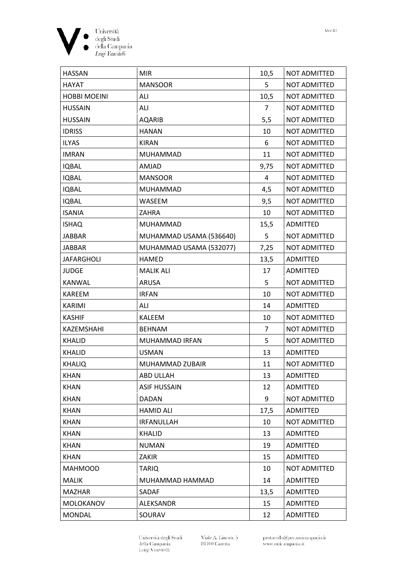

| <b>HASSAN</b>       | <b>MIR</b>              | 10,5 | <b>NOT ADMITTED</b> |
|---------------------|-------------------------|------|---------------------|
| HAYAT               | <b>MANSOOR</b>          | 5    | NOT ADMITTED        |
| <b>HOBBI MOEINI</b> | ALI                     | 10,5 | NOT ADMITTED        |
| <b>HUSSAIN</b>      | ALI                     | 7    | NOT ADMITTED        |
| <b>HUSSAIN</b>      | <b>AQARIB</b>           | 5,5  | NOT ADMITTED        |
| <b>IDRISS</b>       | <b>HANAN</b>            | 10   | <b>NOT ADMITTED</b> |
| <b>ILYAS</b>        | <b>KIRAN</b>            | 6    | NOT ADMITTED        |
| <b>IMRAN</b>        | <b>MUHAMMAD</b>         | 11   | NOT ADMITTED        |
| <b>IQBAL</b>        | <b>AMJAD</b>            | 9,75 | NOT ADMITTED        |
| <b>IQBAL</b>        | <b>MANSOOR</b>          | 4    | <b>NOT ADMITTED</b> |
| <b>IQBAL</b>        | <b>MUHAMMAD</b>         | 4,5  | NOT ADMITTED        |
| <b>IQBAL</b>        | WASEEM                  | 9,5  | NOT ADMITTED        |
| <b>ISANIA</b>       | <b>ZAHRA</b>            | 10   | NOT ADMITTED        |
| <b>ISHAQ</b>        | <b>MUHAMMAD</b>         | 15,5 | <b>ADMITTED</b>     |
| JABBAR              | MUHAMMAD USAMA (536640) | 5    | NOT ADMITTED        |
| JABBAR              | MUHAMMAD USAMA (532077) | 7,25 | NOT ADMITTED        |
| <b>JAFARGHOLI</b>   | <b>HAMED</b>            | 13,5 | <b>ADMITTED</b>     |
| <b>JUDGE</b>        | <b>MALIK ALI</b>        | 17   | <b>ADMITTED</b>     |
| <b>KANWAL</b>       | <b>ARUSA</b>            | 5    | NOT ADMITTED        |
| <b>KAREEM</b>       | <b>IRFAN</b>            | 10   | <b>NOT ADMITTED</b> |
| <b>KARIMI</b>       | ALI                     | 14   | <b>ADMITTED</b>     |
| <b>KASHIF</b>       | <b>KALEEM</b>           | 10   | NOT ADMITTED        |
| <b>KAZEMSHAHI</b>   | <b>BEHNAM</b>           | 7    | NOT ADMITTED        |
| <b>KHALID</b>       | MUHAMMAD IRFAN          | 5    | <b>NOT ADMITTED</b> |
| <b>KHALID</b>       | <b>USMAN</b>            | 13   | <b>ADMITTED</b>     |
| <b>KHALIQ</b>       | MUHAMMAD ZUBAIR         | 11   | <b>NOT ADMITTED</b> |
| <b>KHAN</b>         | ABD ULLAH               | 13   | ADMITTED            |
| <b>KHAN</b>         | <b>ASIF HUSSAIN</b>     | 12   | ADMITTED            |
| <b>KHAN</b>         | DADAN                   | 9    | NOT ADMITTED        |
| <b>KHAN</b>         | <b>HAMID ALI</b>        | 17,5 | ADMITTED            |
| <b>KHAN</b>         | <b>IRFANULLAH</b>       | 10   | NOT ADMITTED        |
| <b>KHAN</b>         | KHALID                  | 13   | ADMITTED            |
| <b>KHAN</b>         | NUMAN                   | 19   | ADMITTED            |
| <b>KHAN</b>         | ZAKIR                   | 15   | ADMITTED            |
| <b>MAHMOOD</b>      | <b>TARIQ</b>            | 10   | NOT ADMITTED        |
| <b>MALIK</b>        | MUHAMMAD HAMMAD         | 14   | ADMITTED            |
| <b>MAZHAR</b>       | SADAF                   | 13,5 | <b>ADMITTED</b>     |
| MOLOKANOV           | ALEKSANDR               | 15   | ADMITTED            |
| <b>MONDAL</b>       | SOURAV                  | 12   | ADMITTED            |

Università degli Studi<br>della Campania<br>Luigi Vanvitelli

Viale A. Lincoln 5<br>81100 Caserta

protocollo@pec.unicampania.it www.unicampania.it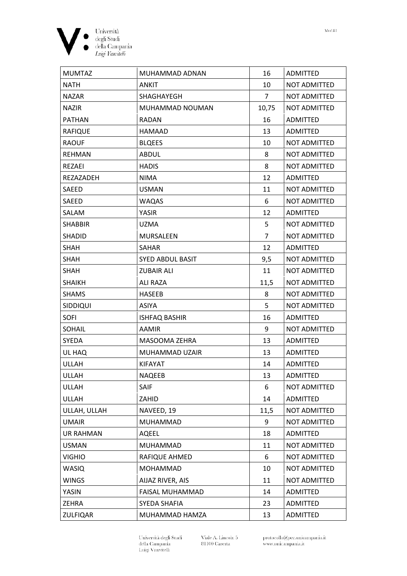

| <b>MUMTAZ</b>    | MUHAMMAD ADNAN          | 16    | <b>ADMITTED</b>     |
|------------------|-------------------------|-------|---------------------|
| NATH             | <b>ANKIT</b>            | 10    | <b>NOT ADMITTED</b> |
| <b>NAZAR</b>     | <b>SHAGHAYEGH</b>       | 7     | <b>NOT ADMITTED</b> |
| <b>NAZIR</b>     | MUHAMMAD NOUMAN         | 10,75 | <b>NOT ADMITTED</b> |
| <b>PATHAN</b>    | RADAN                   | 16    | <b>ADMITTED</b>     |
| <b>RAFIQUE</b>   | HAMAAD                  | 13    | ADMITTED            |
| <b>RAOUF</b>     | <b>BLQEES</b>           | 10    | <b>NOT ADMITTED</b> |
| REHMAN           | ABDUL                   | 8     | NOT ADMITTED        |
| REZAEI           | <b>HADIS</b>            | 8     | <b>NOT ADMITTED</b> |
| REZAZADEH        | <b>NIMA</b>             | 12    | <b>ADMITTED</b>     |
| <b>SAEED</b>     | <b>USMAN</b>            | 11    | <b>NOT ADMITTED</b> |
| <b>SAEED</b>     | <b>WAQAS</b>            | 6     | <b>NOT ADMITTED</b> |
| SALAM            | <b>YASIR</b>            | 12    | ADMITTED            |
| <b>SHABBIR</b>   | <b>UZMA</b>             | 5     | <b>NOT ADMITTED</b> |
| <b>SHADID</b>    | <b>MURSALEEN</b>        | 7     | <b>NOT ADMITTED</b> |
| <b>SHAH</b>      | <b>SAHAR</b>            | 12    | <b>ADMITTED</b>     |
| <b>SHAH</b>      | <b>SYED ABDUL BASIT</b> | 9,5   | <b>NOT ADMITTED</b> |
| <b>SHAH</b>      | <b>ZUBAIR ALI</b>       | 11    | <b>NOT ADMITTED</b> |
| <b>SHAIKH</b>    | <b>ALI RAZA</b>         | 11,5  | <b>NOT ADMITTED</b> |
| <b>SHAMS</b>     | <b>HASEEB</b>           | 8     | <b>NOT ADMITTED</b> |
| <b>SIDDIQUI</b>  | <b>ASIYA</b>            | 5     | <b>NOT ADMITTED</b> |
| <b>SOFI</b>      | <b>ISHFAQ BASHIR</b>    | 16    | ADMITTED            |
| <b>SOHAIL</b>    | <b>AAMIR</b>            | 9     | <b>NOT ADMITTED</b> |
| <b>SYEDA</b>     | <b>MASOOMA ZEHRA</b>    | 13    | ADMITTED            |
| UL HAQ           | MUHAMMAD UZAIR          | 13    | <b>ADMITTED</b>     |
| <b>ULLAH</b>     | <b>KIFAYAT</b>          | 14    | <b>ADMITTED</b>     |
| <b>ULLAH</b>     | <b>NAQEEB</b>           | 13    | ADMITTED            |
| ULLAH            | SAIF                    | 6     | NOT ADMITTED        |
| ULLAH            | ZAHID                   | 14    | ADMITTED            |
| ULLAH, ULLAH     | NAVEED, 19              | 11,5  | NOT ADMITTED        |
| <b>UMAIR</b>     | <b>MUHAMMAD</b>         | 9     | NOT ADMITTED        |
| <b>UR RAHMAN</b> | <b>AQEEL</b>            | 18    | <b>ADMITTED</b>     |
| <b>USMAN</b>     | MUHAMMAD                | 11    | NOT ADMITTED        |
| <b>VIGHIO</b>    | RAFIQUE AHMED           | 6     | NOT ADMITTED        |
| <b>WASIQ</b>     | MOHAMMAD                | 10    | NOT ADMITTED        |
| <b>WINGS</b>     | AIJAZ RIVER, AIS        | 11    | NOT ADMITTED        |
| YASIN            | FAISAL MUHAMMAD         | 14    | ADMITTED            |
| ZEHRA            | SYEDA SHAFIA            | 23    | ADMITTED            |
| <b>ZULFIQAR</b>  | MUHAMMAD HAMZA          | 13    | ADMITTED            |

Università degli Studi<br>della Campania<br>Luigi Vanvitelli

Viale A. Lincoln 5<br>81100 Caserta

protocollo@pec.unicampania.it www.unicampania.it